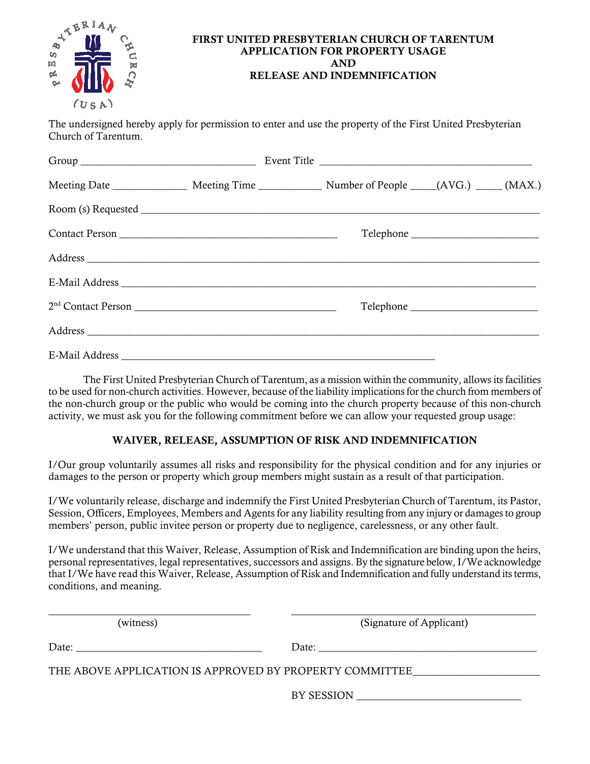

#### FIRST UNITED PRESBYTERIAN CHURCH OF TARENTUM APPLICATION FOR PROPERTY USAGE AND RELEASE AND INDEMNIFICATION

The undersigned hereby apply for permission to enter and use the property of the First United Presbyterian Church of Tarentum.

| Meeting Date _________________ Meeting Time ______________ Number of People _____(AVG.) _____(MAX.) |  |  |  |
|-----------------------------------------------------------------------------------------------------|--|--|--|
|                                                                                                     |  |  |  |
|                                                                                                     |  |  |  |
|                                                                                                     |  |  |  |
|                                                                                                     |  |  |  |
|                                                                                                     |  |  |  |
|                                                                                                     |  |  |  |
|                                                                                                     |  |  |  |

 The First United Presbyterian Church of Tarentum, as a mission within the community, allows its facilities to be used for non-church activities. However, because of the liability implications for the church from members of the non-church group or the public who would be coming into the church property because of this non-church activity, we must ask you for the following commitment before we can allow your requested group usage:

## WAIVER, RELEASE, ASSUMPTION OF RISK AND INDEMNIFICATION

I/Our group voluntarily assumes all risks and responsibility for the physical condition and for any injuries or damages to the person or property which group members might sustain as a result of that participation.

I/We voluntarily release, discharge and indemnify the First United Presbyterian Church of Tarentum, its Pastor, Session, Officers, Employees, Members and Agents for any liability resulting from any injury or damages to group members' person, public invitee person or property due to negligence, carelessness, or any other fault.

I/We understand that this Waiver, Release, Assumption of Risk and Indemnification are binding upon the heirs, personal representatives, legal representatives, successors and assigns. By the signature below, I/We acknowledge that I/We have read this Waiver, Release, Assumption of Risk and Indemnification and fully understand its terms, conditions, and meaning.

| (witness) | (Signature of Applicant)                                |  |
|-----------|---------------------------------------------------------|--|
|           |                                                         |  |
|           | THE ABOVE APPLICATION IS APPROVED BY PROPERTY COMMITTEE |  |
|           | BY SESSION                                              |  |
|           |                                                         |  |